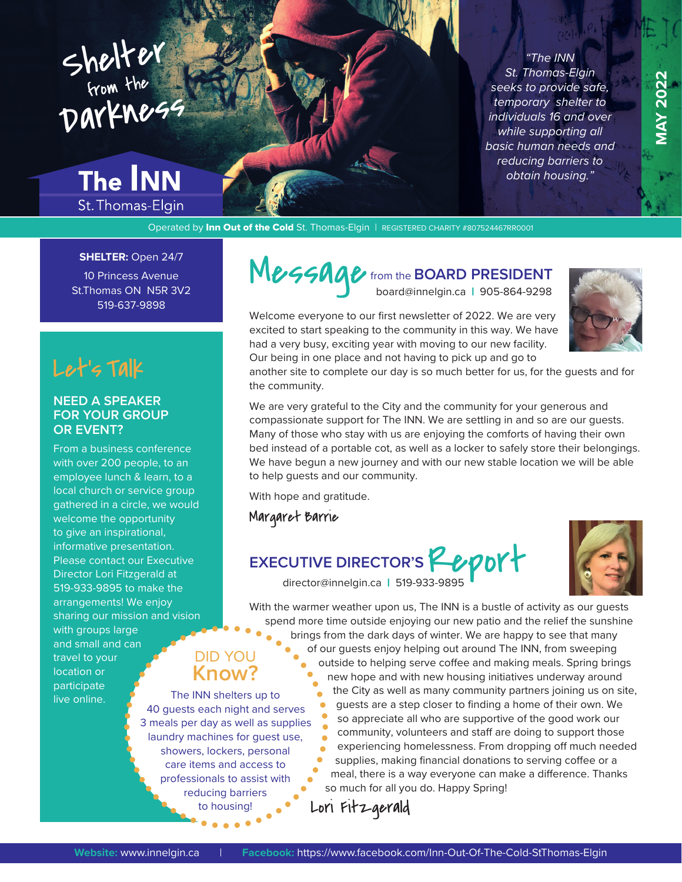## Shelter from the Darkness

## **The INN**

St. Thomas-Elgin

*"The INN St. Thomas-Elgin seeks to provide safe, temporary shelter to individuals 16 and over while supporting all basic human needs and reducing barriers to obtain housing."*

Operated by Inn Out of the Cold St. Thomas-Elgin | REGISTERED CHARITY #807524467RR0001

### **SHELTER:** Open 24/7

10 Princess Avenue St.Thomas ON N5R 3V2 519-637-9898

Let's Talk

### **NEED A SPEAKER FOR YOUR GROUP OR EVENT?**

From a business conference with over 200 people, to an employee lunch & learn, to a local church or service group gathered in a circle, we would welcome the opportunity to give an inspirational, informative presentation. Please contact our Executive Director Lori Fitzgerald at 519-933-9895 to make the arrangements! We enjoy sharing our mission and vision with groups large

and small and can travel to your location or participate live online.

### DID YOU **Know?**

The INN shelters up to 40 guests each night and serves 3 meals per day as well as supplies laundry machines for guest use, showers, lockers, personal care items and access to professionals to assist with reducing barriers to housing!

Message from the **BOARD PRESIDENT** 

Welcome everyone to our first newsletter of 2022. We are very excited to start speaking to the community in this way. We have had a very busy, exciting year with moving to our new facility. Our being in one place and not having to pick up and go to



another site to complete our day is so much better for us, for the guests and for the community.

We are very grateful to the City and the community for your generous and compassionate support for The INN. We are settling in and so are our guests. Many of those who stay with us are enjoying the comforts of having their own bed instead of a portable cot, as well as a locker to safely store their belongings. We have begun a new journey and with our new stable location we will be able to help guests and our community.

With hope and gratitude.

Margaret Barrie

# **EXECUTIVE DIRECTOR'S 20011**



With the warmer weather upon us, The INN is a bustle of activity as our guests spend more time outside enjoying our new patio and the relief the sunshine

brings from the dark days of winter. We are happy to see that many of our guests enjoy helping out around The INN, from sweeping outside to helping serve coffee and making meals. Spring brings new hope and with new housing initiatives underway around the City as well as many community partners joining us on site, guests are a step closer to finding a home of their own. We so appreciate all who are supportive of the good work our

community, volunteers and staff are doing to support those experiencing homelessness. From dropping off much needed supplies, making financial donations to serving coffee or a meal, there is a way everyone can make a difference. Thanks so much for all you do. Happy Spring!

Lori Fitzgerald

**MAY 2022 MAY 2022**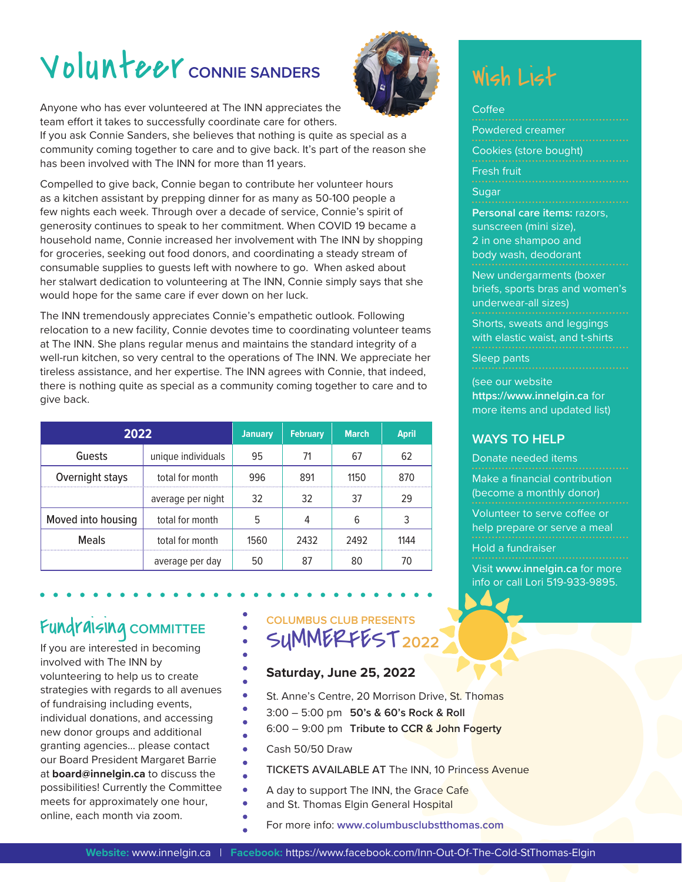# Volunteer CONNIE SANDERS



Anyone who has ever volunteered at The INN appreciates the team effort it takes to successfully coordinate care for others.

If you ask Connie Sanders, she believes that nothing is quite as special as a community coming together to care and to give back. It's part of the reason she has been involved with The INN for more than 11 years.

Compelled to give back, Connie began to contribute her volunteer hours as a kitchen assistant by prepping dinner for as many as 50-100 people a few nights each week. Through over a decade of service, Connie's spirit of generosity continues to speak to her commitment. When COVID 19 became a household name, Connie increased her involvement with The INN by shopping for groceries, seeking out food donors, and coordinating a steady stream of consumable supplies to guests left with nowhere to go. When asked about her stalwart dedication to volunteering at The INN, Connie simply says that she would hope for the same care if ever down on her luck.

The INN tremendously appreciates Connie's empathetic outlook. Following relocation to a new facility, Connie devotes time to coordinating volunteer teams at The INN. She plans regular menus and maintains the standard integrity of a well-run kitchen, so very central to the operations of The INN. We appreciate her tireless assistance, and her expertise. The INN agrees with Connie, that indeed, there is nothing quite as special as a community coming together to care and to give back.

| 2022               |                    | <b>January</b> | <b>February</b> | <b>March</b> | <b>April</b> |
|--------------------|--------------------|----------------|-----------------|--------------|--------------|
| Guests             | unique individuals | 95             |                 | 67           | 62           |
| Overnight stays    | total for month    | 996            | 891             | 1150         | 870          |
|                    | average per night  | 32             | 32              | 37           | 29           |
| Moved into housing | total for month    |                |                 | 6            |              |
| <b>Meals</b>       | total for month    | 1560           | 2432            | 2492         | 1144         |
|                    | average per day    |                |                 | 80           |              |

### Fundraising **COMMITTEE**

If you are interested in becoming involved with The INN by volunteering to help us to create strategies with regards to all avenues of fundraising including events, individual donations, and accessing new donor groups and additional granting agencies… please contact our Board President Margaret Barrie at **board@innelgin.ca** to discuss the possibilities! Currently the Committee meets for approximately one hour, online, each month via zoom.

### **COLUMBUS CLUB PRESENTS** SUMMERFEST**<sup>2022</sup>**

### **Saturday, June 25, 2022**

- St. Anne's Centre, 20 Morrison Drive, St. Thomas
- 3:00 5:00 pm **50's & 60's Rock & Roll**
- 6:00 9:00 pm **Tribute to CCR & John Fogerty**
- Cash 50/50 Draw

ä

- TICKETS AVAILABLE AT The INN, 10 Princess Avenue
- A day to support The INN, the Grace Cafe
- and St. Thomas Elgin General Hospital
- For more info: **www.columbusclubstthomas.com**

## Wish List

| Coffee                              |
|-------------------------------------|
| Powdered creamer                    |
| Cookies (store bought)              |
| Fresh fruit                         |
| Sugar                               |
| <b>Personal care items: razors,</b> |
| sunscreen (mini size),              |
| 2 in one shampoo and                |
| body wash, deodorant                |

New undergarments (boxer briefs, sports bras and women's underwear-all sizes)

Shorts, sweats and leggings with elastic waist, and t-shirts

Sleep pants

(see our website **<https://www.innelgin.ca>** for more items and updated list)

### **WAYS TO HELP**

Donate needed items

Make a financial contribution (become a monthly donor) Volunteer to serve coffee or help prepare or serve a meal Hold a fundraiser Visit **[www.innelgin.ca](http://www.innelgin.ca)** for more

info or call Lori 519-933-9895.